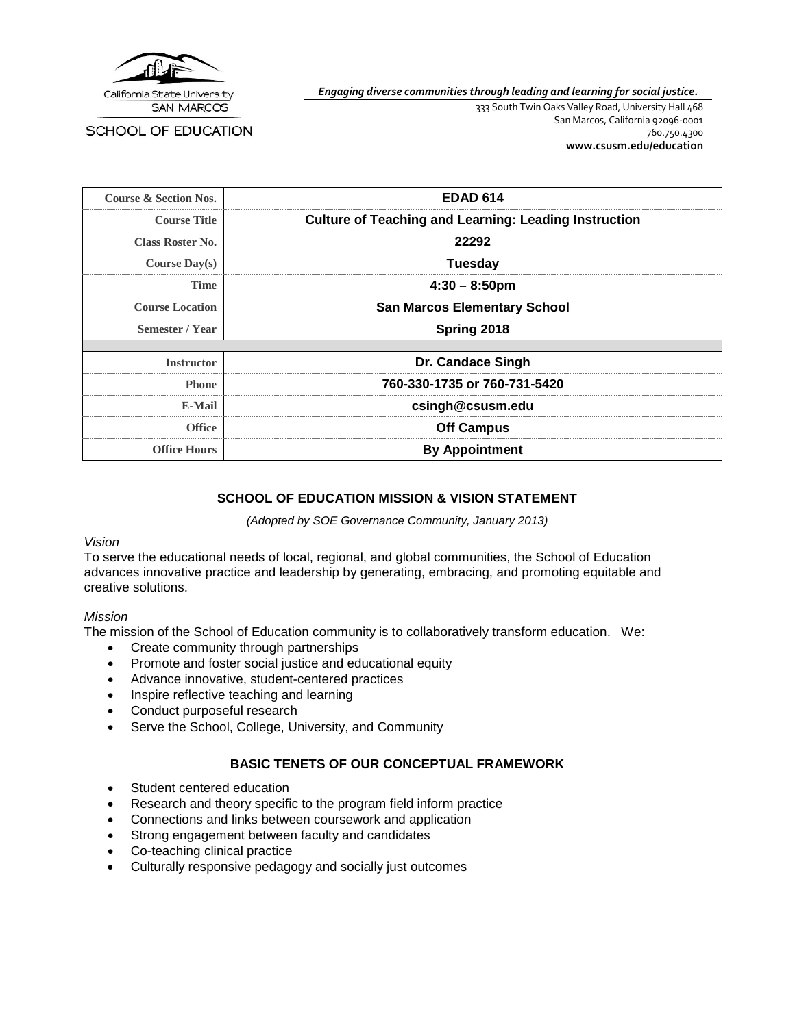

*Engaging diverse communities through leading and learning for social justice.*

SCHOOL OF EDUCATION

333 South Twin Oaks Valley Road, University Hall 468 San Marcos, California 92096-0001 760.750.4300 **[www.csusm.edu/education](http://www.csusm.edu/education)**

| <b>Course &amp; Section Nos.</b> | <b>EDAD 614</b>                                              |
|----------------------------------|--------------------------------------------------------------|
| <b>Course Title</b>              | <b>Culture of Teaching and Learning: Leading Instruction</b> |
| <b>Class Roster No.</b>          | 22292                                                        |
| Course $Day(s)$                  | Tuesday                                                      |
| Time                             | $4:30 - 8:50$ pm                                             |
| <b>Course Location</b>           | <b>San Marcos Elementary School</b>                          |
| Semester / Year                  | Spring 2018                                                  |
|                                  |                                                              |
| <b>Instructor</b>                | Dr. Candace Singh                                            |
| <b>Phone</b>                     | 760-330-1735 or 760-731-5420                                 |
| <b>E-Mail</b>                    | csingh@csusm.edu                                             |
| <b>Office</b>                    | <b>Off Campus</b>                                            |
| <b>Office Hours</b>              | <b>By Appointment</b>                                        |

#### **SCHOOL OF EDUCATION MISSION & VISION STATEMENT**

*(Adopted by SOE Governance Community, January 2013)*

#### *Vision*

To serve the educational needs of local, regional, and global communities, the School of Education advances innovative practice and leadership by generating, embracing, and promoting equitable and creative solutions.

#### *Mission*

The mission of the School of Education community is to collaboratively transform education. We:

- Create community through partnerships
- Promote and foster social justice and educational equity
- Advance innovative, student-centered practices
- Inspire reflective teaching and learning
- Conduct purposeful research
- Serve the School, College, University, and Community

### **BASIC TENETS OF OUR CONCEPTUAL FRAMEWORK**

- Student centered education
- Research and theory specific to the program field inform practice
- Connections and links between coursework and application
- Strong engagement between faculty and candidates
- Co-teaching clinical practice
- Culturally responsive pedagogy and socially just outcomes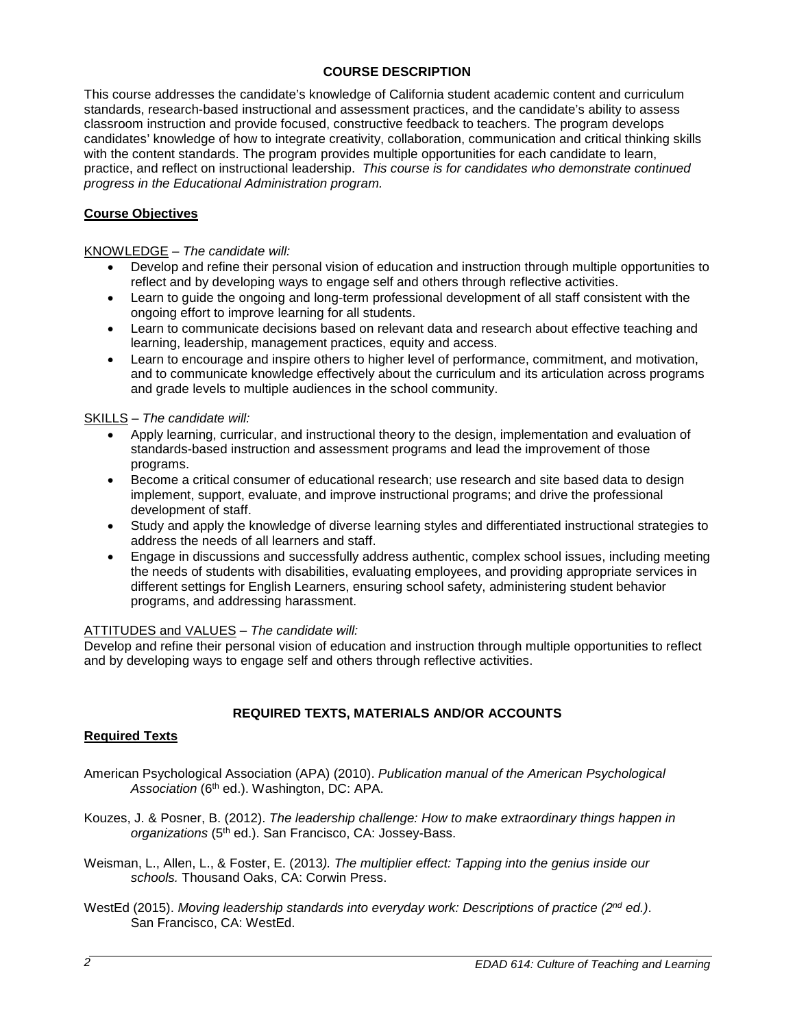# **COURSE DESCRIPTION**

This course addresses the candidate's knowledge of California student academic content and curriculum standards, research-based instructional and assessment practices, and the candidate's ability to assess classroom instruction and provide focused, constructive feedback to teachers. The program develops candidates' knowledge of how to integrate creativity, collaboration, communication and critical thinking skills with the content standards. The program provides multiple opportunities for each candidate to learn, practice, and reflect on instructional leadership. *This course is for candidates who demonstrate continued progress in the Educational Administration program.*

# **Course Objectives**

KNOWLEDGE *– The candidate will:*

- Develop and refine their personal vision of education and instruction through multiple opportunities to reflect and by developing ways to engage self and others through reflective activities.
- Learn to guide the ongoing and long-term professional development of all staff consistent with the ongoing effort to improve learning for all students.
- Learn to communicate decisions based on relevant data and research about effective teaching and learning, leadership, management practices, equity and access.
- Learn to encourage and inspire others to higher level of performance, commitment, and motivation, and to communicate knowledge effectively about the curriculum and its articulation across programs and grade levels to multiple audiences in the school community.

#### SKILLS – *The candidate will:*

- Apply learning, curricular, and instructional theory to the design, implementation and evaluation of standards-based instruction and assessment programs and lead the improvement of those programs.
- Become a critical consumer of educational research; use research and site based data to design implement, support, evaluate, and improve instructional programs; and drive the professional development of staff.
- Study and apply the knowledge of diverse learning styles and differentiated instructional strategies to address the needs of all learners and staff.
- Engage in discussions and successfully address authentic, complex school issues, including meeting the needs of students with disabilities, evaluating employees, and providing appropriate services in different settings for English Learners, ensuring school safety, administering student behavior programs, and addressing harassment.

#### ATTITUDES and VALUES – *The candidate will:*

Develop and refine their personal vision of education and instruction through multiple opportunities to reflect and by developing ways to engage self and others through reflective activities.

### **REQUIRED TEXTS, MATERIALS AND/OR ACCOUNTS**

### **Required Texts**

- American Psychological Association (APA) (2010). *Publication manual of the American Psychological Association* (6th ed.). Washington, DC: APA.
- Kouzes, J. & Posner, B. (2012). *The leadership challenge: How to make extraordinary things happen in organizations* (5th ed.). San Francisco, CA: Jossey-Bass.
- Weisman, L., Allen, L., & Foster, E. (2013*). The multiplier effect: Tapping into the genius inside our schools.* Thousand Oaks, CA: Corwin Press.
- WestEd (2015). *Moving leadership standards into everyday work: Descriptions of practice (2nd ed.)*. San Francisco, CA: WestEd.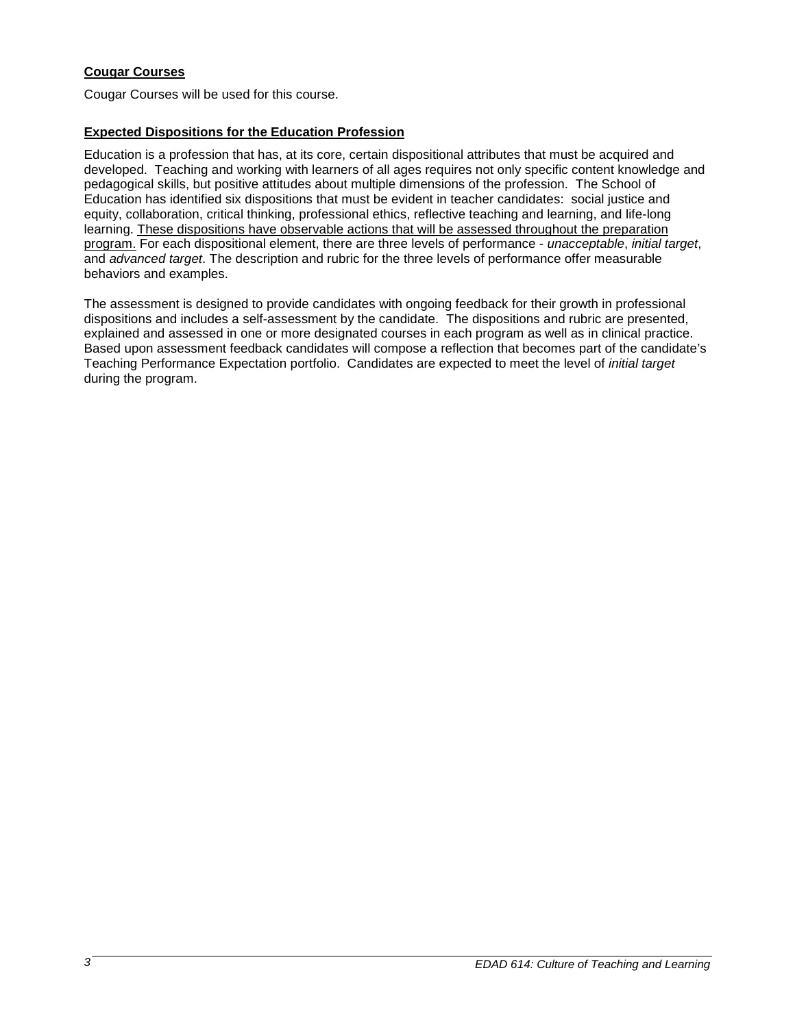# **Cougar Courses**

Cougar Courses will be used for this course.

## **Expected Dispositions for the Education Profession**

Education is a profession that has, at its core, certain dispositional attributes that must be acquired and developed. Teaching and working with learners of all ages requires not only specific content knowledge and pedagogical skills, but positive attitudes about multiple dimensions of the profession. The School of Education has identified six dispositions that must be evident in teacher candidates: social justice and equity, collaboration, critical thinking, professional ethics, reflective teaching and learning, and life-long learning. These dispositions have observable actions that will be assessed throughout the preparation program. For each dispositional element, there are three levels of performance - *unacceptable*, *initial target*, and *advanced target*. The description and rubric for the three levels of performance offer measurable behaviors and examples.

The assessment is designed to provide candidates with ongoing feedback for their growth in professional dispositions and includes a self-assessment by the candidate. The dispositions and rubric are presented, explained and assessed in one or more designated courses in each program as well as in clinical practice. Based upon assessment feedback candidates will compose a reflection that becomes part of the candidate's Teaching Performance Expectation portfolio. Candidates are expected to meet the level of *initial target* during the program.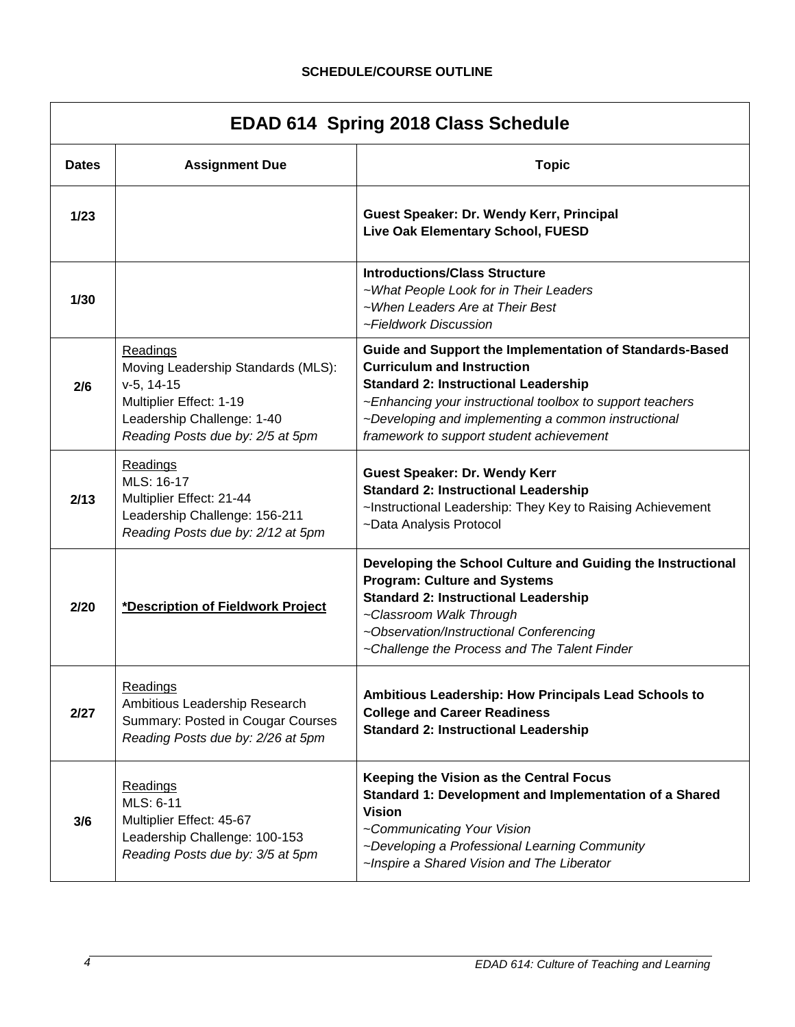# **SCHEDULE/COURSE OUTLINE**

| <b>EDAD 614 Spring 2018 Class Schedule</b> |                                                                                                                                                                    |                                                                                                                                                                                                                                                                                                             |  |
|--------------------------------------------|--------------------------------------------------------------------------------------------------------------------------------------------------------------------|-------------------------------------------------------------------------------------------------------------------------------------------------------------------------------------------------------------------------------------------------------------------------------------------------------------|--|
| <b>Dates</b>                               | <b>Assignment Due</b>                                                                                                                                              | <b>Topic</b>                                                                                                                                                                                                                                                                                                |  |
| 1/23                                       |                                                                                                                                                                    | Guest Speaker: Dr. Wendy Kerr, Principal<br>Live Oak Elementary School, FUESD                                                                                                                                                                                                                               |  |
| 1/30                                       |                                                                                                                                                                    | <b>Introductions/Class Structure</b><br>~What People Look for in Their Leaders<br>~When Leaders Are at Their Best<br>~Fieldwork Discussion                                                                                                                                                                  |  |
| 2/6                                        | <b>Readings</b><br>Moving Leadership Standards (MLS):<br>$v-5, 14-15$<br>Multiplier Effect: 1-19<br>Leadership Challenge: 1-40<br>Reading Posts due by: 2/5 at 5pm | Guide and Support the Implementation of Standards-Based<br><b>Curriculum and Instruction</b><br><b>Standard 2: Instructional Leadership</b><br>~Enhancing your instructional toolbox to support teachers<br>~Developing and implementing a common instructional<br>framework to support student achievement |  |
| 2/13                                       | Readings<br>MLS: 16-17<br>Multiplier Effect: 21-44<br>Leadership Challenge: 156-211<br>Reading Posts due by: 2/12 at 5pm                                           | <b>Guest Speaker: Dr. Wendy Kerr</b><br><b>Standard 2: Instructional Leadership</b><br>~Instructional Leadership: They Key to Raising Achievement<br>~Data Analysis Protocol                                                                                                                                |  |
| 2/20                                       | *Description of Fieldwork Project                                                                                                                                  | Developing the School Culture and Guiding the Instructional<br><b>Program: Culture and Systems</b><br><b>Standard 2: Instructional Leadership</b><br>~Classroom Walk Through<br>~Observation/Instructional Conferencing<br>~Challenge the Process and The Talent Finder                                     |  |
| 2/27                                       | Readings<br>Ambitious Leadership Research<br>Summary: Posted in Cougar Courses<br>Reading Posts due by: 2/26 at 5pm                                                | Ambitious Leadership: How Principals Lead Schools to<br><b>College and Career Readiness</b><br><b>Standard 2: Instructional Leadership</b>                                                                                                                                                                  |  |
| 3/6                                        | <b>Readings</b><br>MLS: 6-11<br>Multiplier Effect: 45-67<br>Leadership Challenge: 100-153<br>Reading Posts due by: 3/5 at 5pm                                      | Keeping the Vision as the Central Focus<br>Standard 1: Development and Implementation of a Shared<br><b>Vision</b><br>~Communicating Your Vision<br>~Developing a Professional Learning Community<br>~Inspire a Shared Vision and The Liberator                                                             |  |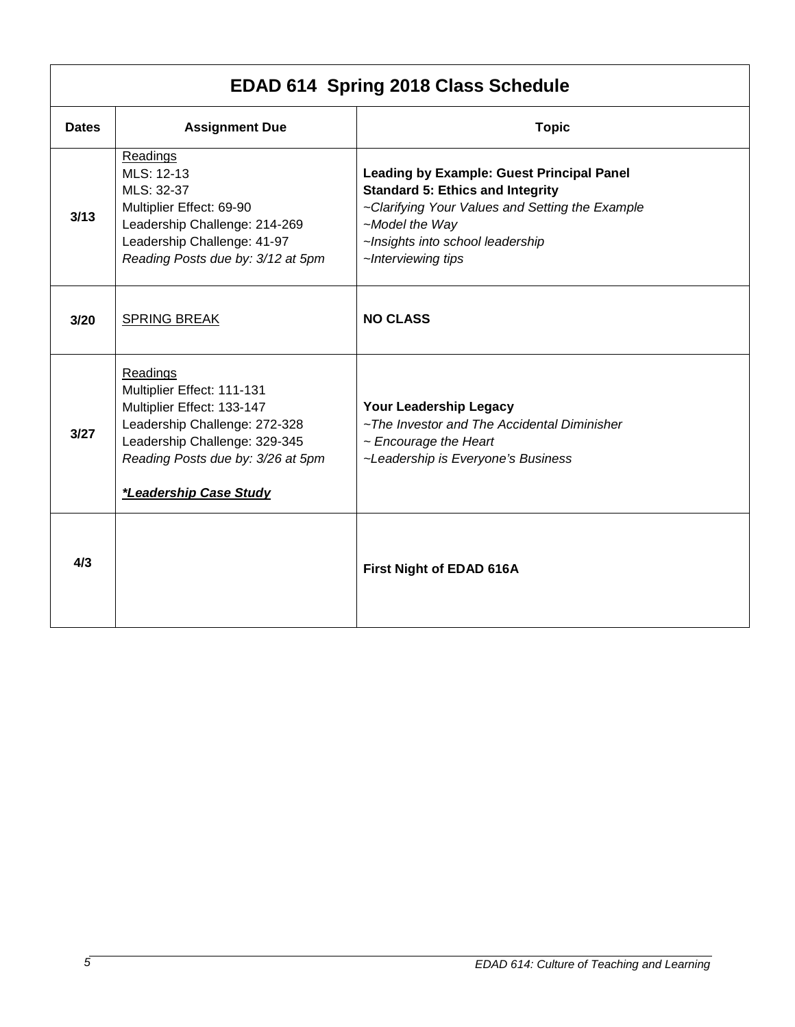| EDAD 614 Spring 2018 Class Schedule |                                                                                                                                                                                                       |                                                                                                                                                                                                                            |  |
|-------------------------------------|-------------------------------------------------------------------------------------------------------------------------------------------------------------------------------------------------------|----------------------------------------------------------------------------------------------------------------------------------------------------------------------------------------------------------------------------|--|
| <b>Dates</b>                        | <b>Assignment Due</b>                                                                                                                                                                                 | <b>Topic</b>                                                                                                                                                                                                               |  |
| 3/13                                | Readings<br>MLS: 12-13<br>MLS: 32-37<br>Multiplier Effect: 69-90<br>Leadership Challenge: 214-269<br>Leadership Challenge: 41-97<br>Reading Posts due by: 3/12 at 5pm                                 | <b>Leading by Example: Guest Principal Panel</b><br><b>Standard 5: Ethics and Integrity</b><br>~Clarifying Your Values and Setting the Example<br>~Model the Way<br>~Insights into school leadership<br>~Interviewing tips |  |
| 3/20                                | <b>SPRING BREAK</b>                                                                                                                                                                                   | <b>NO CLASS</b>                                                                                                                                                                                                            |  |
| 3/27                                | Readings<br>Multiplier Effect: 111-131<br>Multiplier Effect: 133-147<br>Leadership Challenge: 272-328<br>Leadership Challenge: 329-345<br>Reading Posts due by: 3/26 at 5pm<br>*Leadership Case Study | Your Leadership Legacy<br>~The Investor and The Accidental Diminisher<br>$\sim$ Encourage the Heart<br>~Leadership is Everyone's Business                                                                                  |  |
| 4/3                                 |                                                                                                                                                                                                       | First Night of EDAD 616A                                                                                                                                                                                                   |  |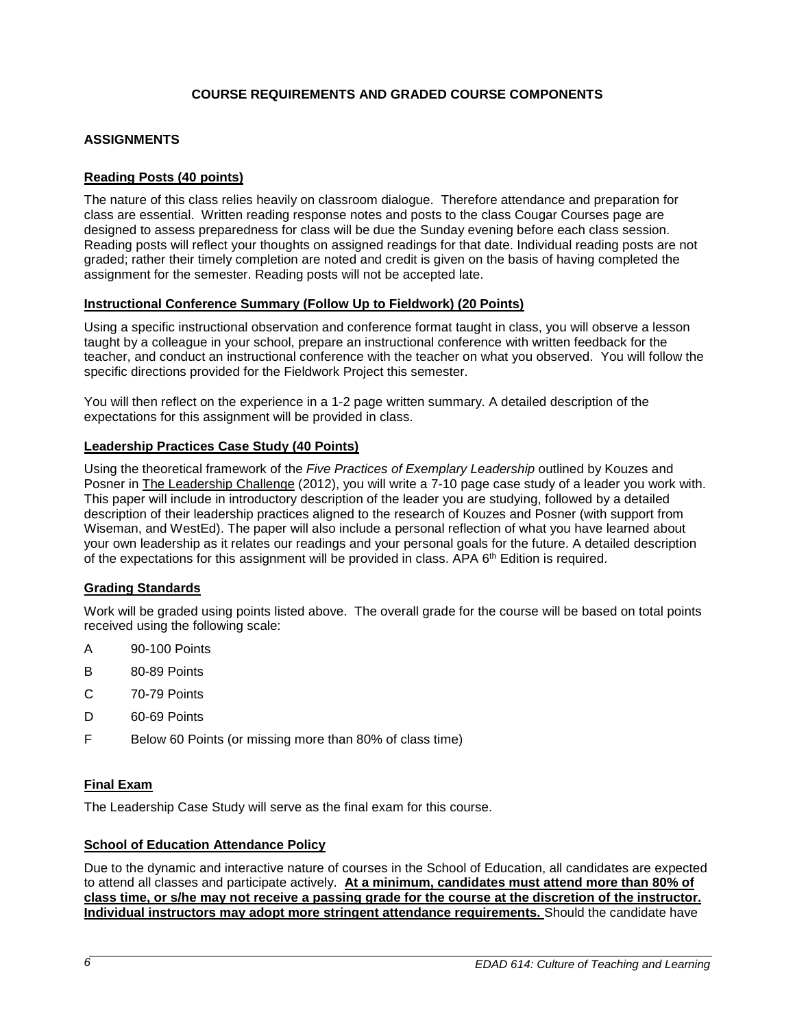# **COURSE REQUIREMENTS AND GRADED COURSE COMPONENTS**

# **ASSIGNMENTS**

## **Reading Posts (40 points)**

The nature of this class relies heavily on classroom dialogue. Therefore attendance and preparation for class are essential. Written reading response notes and posts to the class Cougar Courses page are designed to assess preparedness for class will be due the Sunday evening before each class session. Reading posts will reflect your thoughts on assigned readings for that date. Individual reading posts are not graded; rather their timely completion are noted and credit is given on the basis of having completed the assignment for the semester. Reading posts will not be accepted late.

### **Instructional Conference Summary (Follow Up to Fieldwork) (20 Points)**

Using a specific instructional observation and conference format taught in class, you will observe a lesson taught by a colleague in your school, prepare an instructional conference with written feedback for the teacher, and conduct an instructional conference with the teacher on what you observed. You will follow the specific directions provided for the Fieldwork Project this semester.

You will then reflect on the experience in a 1-2 page written summary. A detailed description of the expectations for this assignment will be provided in class.

### **Leadership Practices Case Study (40 Points)**

Using the theoretical framework of the *Five Practices of Exemplary Leadership* outlined by Kouzes and Posner in The Leadership Challenge (2012), you will write a 7-10 page case study of a leader you work with. This paper will include in introductory description of the leader you are studying, followed by a detailed description of their leadership practices aligned to the research of Kouzes and Posner (with support from Wiseman, and WestEd). The paper will also include a personal reflection of what you have learned about your own leadership as it relates our readings and your personal goals for the future. A detailed description of the expectations for this assignment will be provided in class. APA 6<sup>th</sup> Edition is required.

### **Grading Standards**

Work will be graded using points listed above. The overall grade for the course will be based on total points received using the following scale:

- A 90-100 Points
- B 80-89 Points
- C 70-79 Points
- D 60-69 Points
- F Below 60 Points (or missing more than 80% of class time)

### **Final Exam**

The Leadership Case Study will serve as the final exam for this course.

#### **School of Education Attendance Policy**

Due to the dynamic and interactive nature of courses in the School of Education, all candidates are expected to attend all classes and participate actively. **At a minimum, candidates must attend more than 80% of class time, or s/he may not receive a passing grade for the course at the discretion of the instructor. Individual instructors may adopt more stringent attendance requirements.** Should the candidate have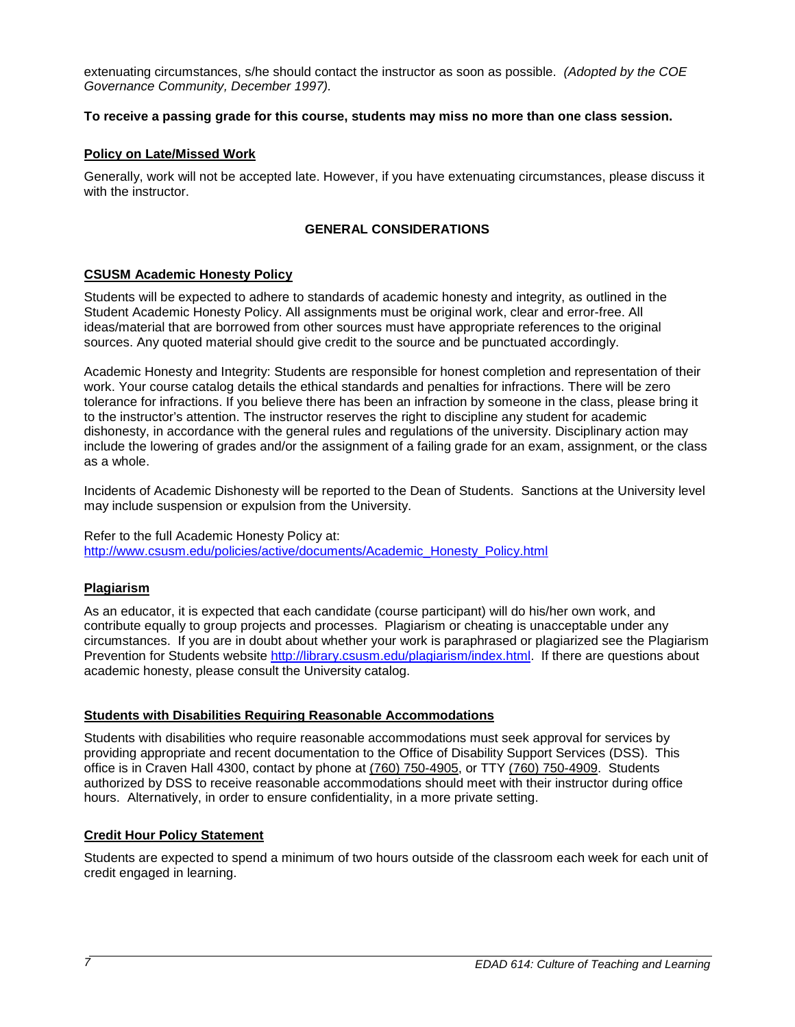extenuating circumstances, s/he should contact the instructor as soon as possible. *(Adopted by the COE Governance Community, December 1997).*

### **To receive a passing grade for this course, students may miss no more than one class session.**

#### **Policy on Late/Missed Work**

Generally, work will not be accepted late. However, if you have extenuating circumstances, please discuss it with the instructor.

## **GENERAL CONSIDERATIONS**

### **CSUSM Academic Honesty Policy**

Students will be expected to adhere to standards of academic honesty and integrity, as outlined in the Student Academic Honesty Policy. All assignments must be original work, clear and error-free. All ideas/material that are borrowed from other sources must have appropriate references to the original sources. Any quoted material should give credit to the source and be punctuated accordingly.

Academic Honesty and Integrity: Students are responsible for honest completion and representation of their work. Your course catalog details the ethical standards and penalties for infractions. There will be zero tolerance for infractions. If you believe there has been an infraction by someone in the class, please bring it to the instructor's attention. The instructor reserves the right to discipline any student for academic dishonesty, in accordance with the general rules and regulations of the university. Disciplinary action may include the lowering of grades and/or the assignment of a failing grade for an exam, assignment, or the class as a whole.

Incidents of Academic Dishonesty will be reported to the Dean of Students. Sanctions at the University level may include suspension or expulsion from the University.

Refer to the full Academic Honesty Policy at: [http://www.csusm.edu/policies/active/documents/Academic\\_Honesty\\_Policy.html](http://www.csusm.edu/policies/active/documents/Academic_Honesty_Policy.html)

### **Plagiarism**

As an educator, it is expected that each candidate (course participant) will do his/her own work, and contribute equally to group projects and processes. Plagiarism or cheating is unacceptable under any circumstances. If you are in doubt about whether your work is paraphrased or plagiarized see the Plagiarism Prevention for Students website [http://library.csusm.edu/plagiarism/index.html.](http://library.csusm.edu/plagiarism/index.html) If there are questions about academic honesty, please consult the University catalog.

#### **Students with Disabilities Requiring Reasonable Accommodations**

Students with disabilities who require reasonable accommodations must seek approval for services by providing appropriate and recent documentation to the Office of Disability Support Services (DSS). This office is in Craven Hall 4300, contact by phone at [\(760\) 750-4905,](tel:(760)%20750-4905) or TTY [\(760\) 750-4909.](tel:(760)%20750-4909) Students authorized by DSS to receive reasonable accommodations should meet with their instructor during office hours. Alternatively, in order to ensure confidentiality, in a more private setting.

#### **Credit Hour Policy Statement**

Students are expected to spend a minimum of two hours outside of the classroom each week for each unit of credit engaged in learning.